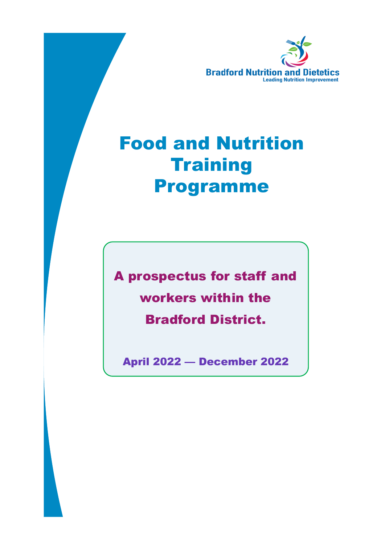

# Food and Nutrition **Training** Programme

A prospectus for staff and workers within the Bradford District.

April 2022 — December 2022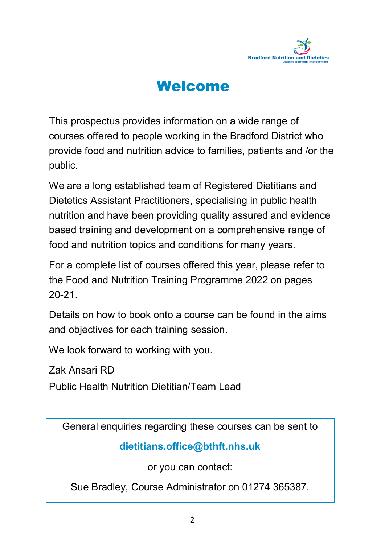

### Welcome

This prospectus provides information on a wide range of courses offered to people working in the Bradford District who provide food and nutrition advice to families, patients and /or the public.

We are a long established team of Registered Dietitians and Dietetics Assistant Practitioners, specialising in public health nutrition and have been providing quality assured and evidence based training and development on a comprehensive range of food and nutrition topics and conditions for many years.

For a complete list of courses offered this year, please refer to the Food and Nutrition Training Programme 2022 on pages 20-21.

Details on how to book onto a course can be found in the aims and objectives for each training session.

We look forward to working with you.

Zak Ansari RD

Public Health Nutrition Dietitian/Team Lead

General enquiries regarding these courses can be sent to

### **dietitians.office@bthft.nhs.uk**

or you can contact:

Sue Bradley, Course Administrator on 01274 365387.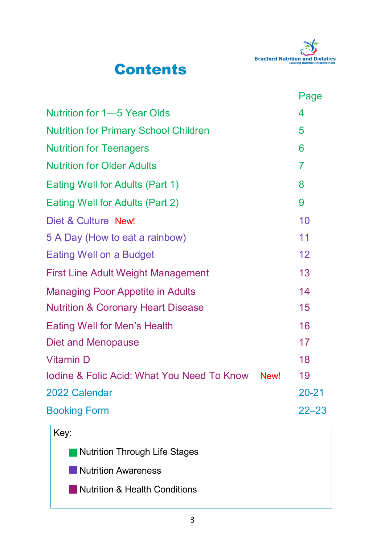

### **Contents**

|                                                       |             | Page      |
|-------------------------------------------------------|-------------|-----------|
| <b>Nutrition for 1–5 Year Olds</b>                    |             | 4         |
| <b>Nutrition for Primary School Children</b>          |             | 5         |
| <b>Nutrition for Teenagers</b>                        |             | 6         |
| <b>Nutrition for Older Adults</b>                     |             | 7         |
| Eating Well for Adults (Part 1)                       |             | 8         |
| Eating Well for Adults (Part 2)                       |             | 9         |
| Diet & Culture New!                                   |             | 10        |
| 5 A Day (How to eat a rainbow)                        |             | 11        |
| <b>Eating Well on a Budget</b>                        |             | 12        |
| <b>First Line Adult Weight Management</b>             |             | 13        |
| <b>Managing Poor Appetite in Adults</b>               |             | 14        |
| <b>Nutrition &amp; Coronary Heart Disease</b>         |             | 15        |
| <b>Eating Well for Men's Health</b>                   |             | 16        |
| <b>Diet and Menopause</b>                             |             | 17        |
| <b>Vitamin D</b>                                      |             | 18        |
| <b>Iodine &amp; Folic Acid: What You Need To Know</b> | <b>New!</b> | 19        |
| 2022 Calendar                                         |             | $20 - 21$ |
| <b>Booking Form</b>                                   |             | $22 - 23$ |

| Key:                          |
|-------------------------------|
| Nutrition Through Life Stages |
| Nutrition Awareness           |
| Nutrition & Health Conditions |
|                               |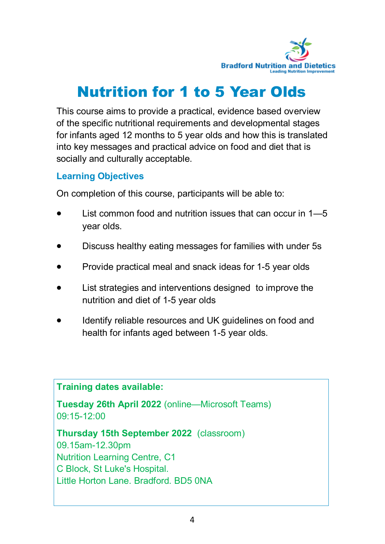

# Nutrition for 1 to 5 Year Olds

This course aims to provide a practical, evidence based overview of the specific nutritional requirements and developmental stages for infants aged 12 months to 5 year olds and how this is translated into key messages and practical advice on food and diet that is socially and culturally acceptable.

### **Learning Objectives**

On completion of this course, participants will be able to:

- List common food and nutrition issues that can occur in 1—5 year olds.
- Discuss healthy eating messages for families with under 5s
- Provide practical meal and snack ideas for 1-5 year olds
- List strategies and interventions designed to improve the nutrition and diet of 1-5 year olds
- Identify reliable resources and UK guidelines on food and health for infants aged between 1-5 year olds.

**Training dates available:**

**Tuesday 26th April 2022** (online—Microsoft Teams) 09:15-12:00

**Thursday 15th September 2022** (classroom)

09.15am-12.30pm Nutrition Learning Centre, C1 C Block, St Luke's Hospital. Little Horton Lane. Bradford. BD5 0NA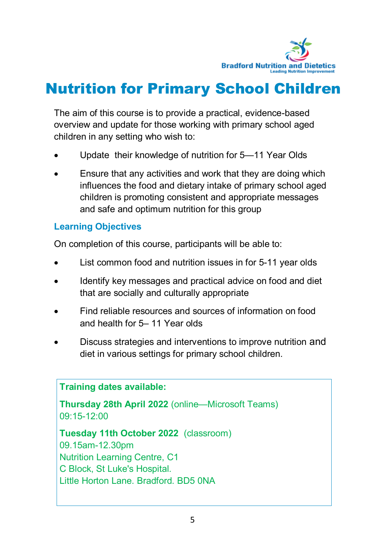

## Nutrition for Primary School Children

The aim of this course is to provide a practical, evidence-based overview and update for those working with primary school aged children in any setting who wish to:

- Update their knowledge of nutrition for 5—11 Year Olds
- Ensure that any activities and work that they are doing which influences the food and dietary intake of primary school aged children is promoting consistent and appropriate messages and safe and optimum nutrition for this group

### **Learning Objectives**

On completion of this course, participants will be able to:

- List common food and nutrition issues in for 5-11 year olds
- Identify key messages and practical advice on food and diet that are socially and culturally appropriate
- Find reliable resources and sources of information on food and health for 5– 11 Year olds
- Discuss strategies and interventions to improve nutrition and diet in various settings for primary school children.

**Training dates available: Thursday 28th April 2022** (online—Microsoft Teams) 09:15-12:00 **Tuesday 11th October 2022** (classroom) 09.15am-12.30pm Nutrition Learning Centre, C1 C Block, St Luke's Hospital. Little Horton Lane. Bradford. BD5 0NA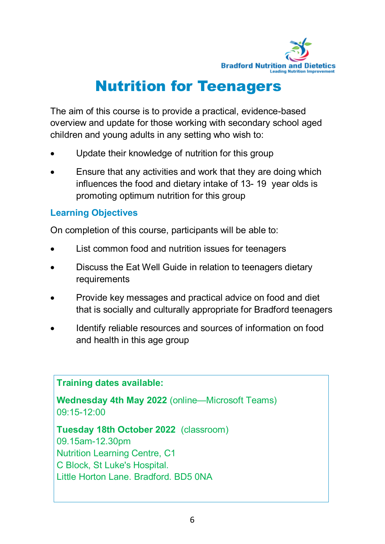

## Nutrition for Teenagers

The aim of this course is to provide a practical, evidence-based overview and update for those working with secondary school aged children and young adults in any setting who wish to:

- Update their knowledge of nutrition for this group
- Ensure that any activities and work that they are doing which influences the food and dietary intake of 13- 19 year olds is promoting optimum nutrition for this group

### **Learning Objectives**

On completion of this course, participants will be able to:

- List common food and nutrition issues for teenagers
- Discuss the Eat Well Guide in relation to teenagers dietary requirements
- Provide key messages and practical advice on food and diet that is socially and culturally appropriate for Bradford teenagers
- Identify reliable resources and sources of information on food and health in this age group

### **Training dates available:**

**Wednesday 4th May 2022** (online—Microsoft Teams) 09:15-12:00

**Tuesday 18th October 2022** (classroom) 09.15am-12.30pm

Nutrition Learning Centre, C1 C Block, St Luke's Hospital. Little Horton Lane. Bradford. BD5 0NA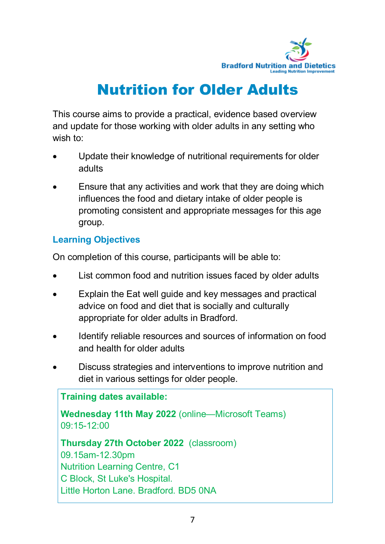

## Nutrition for Older Adults

This course aims to provide a practical, evidence based overview and update for those working with older adults in any setting who wish to:

- Update their knowledge of nutritional requirements for older adults
- Ensure that any activities and work that they are doing which influences the food and dietary intake of older people is promoting consistent and appropriate messages for this age group.

### **Learning Objectives**

On completion of this course, participants will be able to:

- List common food and nutrition issues faced by older adults
- Explain the Eat well guide and key messages and practical advice on food and diet that is socially and culturally appropriate for older adults in Bradford.
- Identify reliable resources and sources of information on food and health for older adults
- Discuss strategies and interventions to improve nutrition and diet in various settings for older people.

**Training dates available: Wednesday 11th May 2022** (online—Microsoft Teams) 09:15-12:00 **Thursday 27th October 2022** (classroom) 09.15am-12.30pm Nutrition Learning Centre, C1 C Block, St Luke's Hospital. Little Horton Lane. Bradford. BD5 0NA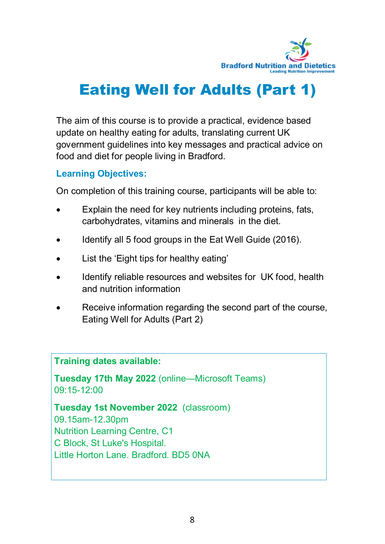

# Eating Well for Adults (Part 1)

The aim of this course is to provide a practical, evidence based update on healthy eating for adults, translating current UK government guidelines into key messages and practical advice on food and diet for people living in Bradford.

### **Learning Objectives:**

On completion of this training course, participants will be able to:

- Explain the need for key nutrients including proteins, fats, carbohydrates, vitamins and minerals in the diet.
- $\bullet$  Identify all 5 food groups in the Eat Well Guide (2016).
- List the 'Eight tips for healthy eating'
- Identify reliable resources and websites for UK food, health and nutrition information
- Receive information regarding the second part of the course, Eating Well for Adults (Part 2)

### **Training dates available:**

**Tuesday 17th May 2022** (online—Microsoft Teams) 09:15-12:00

**Tuesday 1st November 2022** (classroom) 09.15am-12.30pm Nutrition Learning Centre, C1 C Block, St Luke's Hospital. Little Horton Lane. Bradford. BD5 0NA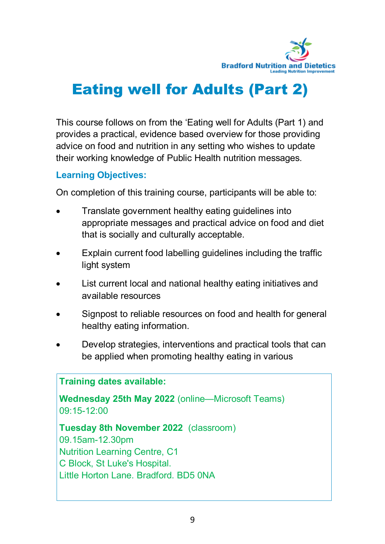

# Eating well for Adults (Part 2)

This course follows on from the 'Eating well for Adults (Part 1) and provides a practical, evidence based overview for those providing advice on food and nutrition in any setting who wishes to update their working knowledge of Public Health nutrition messages.

### **Learning Objectives:**

On completion of this training course, participants will be able to:

- Translate government healthy eating guidelines into appropriate messages and practical advice on food and diet that is socially and culturally acceptable.
- Explain current food labelling guidelines including the traffic light system
- List current local and national healthy eating initiatives and available resources
- Signpost to reliable resources on food and health for general healthy eating information.
- Develop strategies, interventions and practical tools that can be applied when promoting healthy eating in various

### **Training dates available:**

**Wednesday 25th May 2022** (online—Microsoft Teams) 09:15-12:00

**Tuesday 8th November 2022** (classroom) 09.15am-12.30pm

Nutrition Learning Centre, C1 C Block, St Luke's Hospital. Little Horton Lane. Bradford. BD5 0NA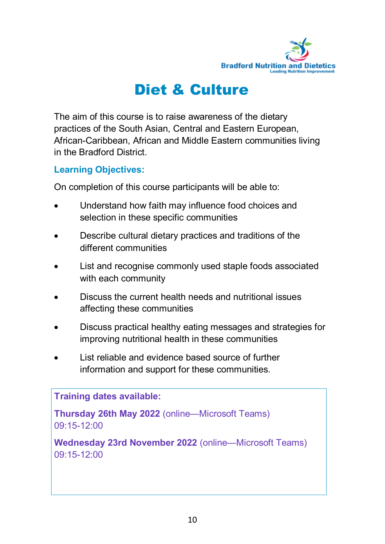

### Diet & Culture

The aim of this course is to raise awareness of the dietary practices of the South Asian, Central and Eastern European, African-Caribbean, African and Middle Eastern communities living in the Bradford District.

### **Learning Objectives:**

On completion of this course participants will be able to:

- Understand how faith may influence food choices and selection in these specific communities
- Describe cultural dietary practices and traditions of the different communities
- List and recognise commonly used staple foods associated with each community
- Discuss the current health needs and nutritional issues affecting these communities
- Discuss practical healthy eating messages and strategies for improving nutritional health in these communities
- List reliable and evidence based source of further information and support for these communities.

#### **Training dates available:**

**Thursday 26th May 2022** (online—Microsoft Teams) 09:15-12:00

**Wednesday 23rd November 2022** (online—Microsoft Teams) 09:15-12:00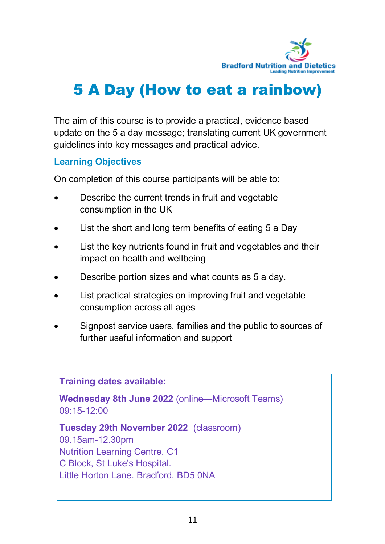

# 5 A Day (How to eat a rainbow)

The aim of this course is to provide a practical, evidence based update on the 5 a day message; translating current UK government guidelines into key messages and practical advice.

### **Learning Objectives**

On completion of this course participants will be able to:

- Describe the current trends in fruit and vegetable consumption in the UK
- List the short and long term benefits of eating 5 a Day
- List the key nutrients found in fruit and vegetables and their impact on health and wellbeing
- Describe portion sizes and what counts as 5 a day.
- List practical strategies on improving fruit and vegetable consumption across all ages
- Signpost service users, families and the public to sources of further useful information and support

**Training dates available:**

**Wednesday 8th June 2022** (online—Microsoft Teams) 09:15-12:00

**Tuesday 29th November 2022** (classroom)

09.15am-12.30pm Nutrition Learning Centre, C1 C Block, St Luke's Hospital. Little Horton Lane. Bradford. BD5 0NA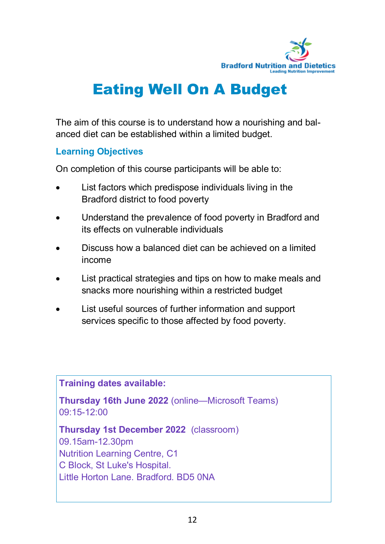

# Eating Well On A Budget

The aim of this course is to understand how a nourishing and balanced diet can be established within a limited budget.

### **Learning Objectives**

On completion of this course participants will be able to:

- List factors which predispose individuals living in the Bradford district to food poverty
- Understand the prevalence of food poverty in Bradford and its effects on vulnerable individuals
- Discuss how a balanced diet can be achieved on a limited income
- List practical strategies and tips on how to make meals and snacks more nourishing within a restricted budget
- List useful sources of further information and support services specific to those affected by food poverty.

**Training dates available:**

**Thursday 16th June 2022** (online—Microsoft Teams) 09:15-12:00

**Thursday 1st December 2022** (classroom)

09.15am-12.30pm Nutrition Learning Centre, C1 C Block, St Luke's Hospital. Little Horton Lane. Bradford. BD5 0NA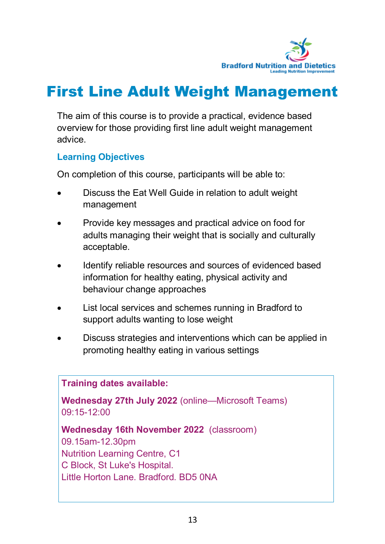

## First Line Adult Weight Management

The aim of this course is to provide a practical, evidence based overview for those providing first line adult weight management advice.

### **Learning Objectives**

On completion of this course, participants will be able to:

- Discuss the Eat Well Guide in relation to adult weight management
- Provide key messages and practical advice on food for adults managing their weight that is socially and culturally acceptable.
- Identify reliable resources and sources of evidenced based information for healthy eating, physical activity and behaviour change approaches
- List local services and schemes running in Bradford to support adults wanting to lose weight
- Discuss strategies and interventions which can be applied in promoting healthy eating in various settings

#### **Training dates available:**

**Wednesday 27th July 2022** (online—Microsoft Teams) 09:15-12:00

**Wednesday 16th November 2022** (classroom) 09.15am-12.30pm Nutrition Learning Centre, C1

C Block, St Luke's Hospital. Little Horton Lane. Bradford. BD5 0NA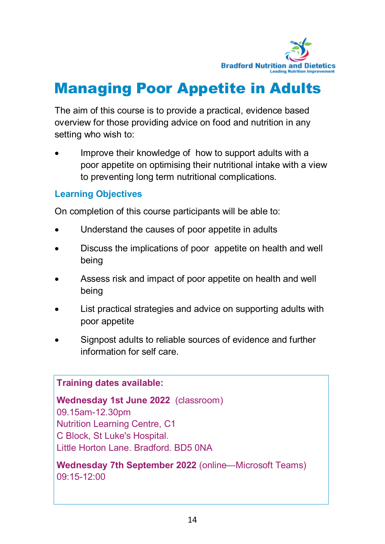

## Managing Poor Appetite in Adults

The aim of this course is to provide a practical, evidence based overview for those providing advice on food and nutrition in any setting who wish to:

 Improve their knowledge of how to support adults with a poor appetite on optimising their nutritional intake with a view to preventing long term nutritional complications.

### **Learning Objectives**

On completion of this course participants will be able to:

- Understand the causes of poor appetite in adults
- Discuss the implications of poor appetite on health and well being
- Assess risk and impact of poor appetite on health and well being
- List practical strategies and advice on supporting adults with poor appetite
- Signpost adults to reliable sources of evidence and further information for self care.

### **Training dates available:**

**Wednesday 1st June 2022** (classroom) 09.15am-12.30pm Nutrition Learning Centre, C1 C Block, St Luke's Hospital. Little Horton Lane. Bradford. BD5 0NA

**Wednesday 7th September 2022** (online—Microsoft Teams) 09:15-12:00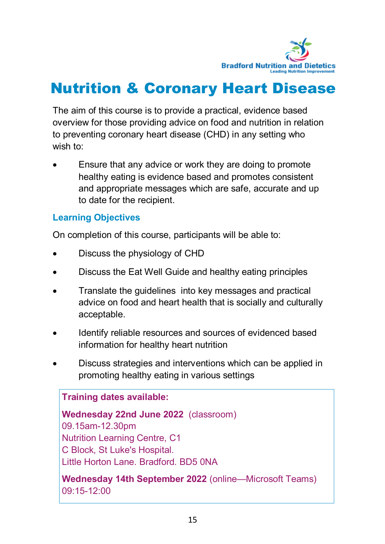

## Nutrition & Coronary Heart Disease

The aim of this course is to provide a practical, evidence based overview for those providing advice on food and nutrition in relation to preventing coronary heart disease (CHD) in any setting who wish to:

 Ensure that any advice or work they are doing to promote healthy eating is evidence based and promotes consistent and appropriate messages which are safe, accurate and up to date for the recipient.

### **Learning Objectives**

On completion of this course, participants will be able to:

- Discuss the physiology of CHD
- Discuss the Eat Well Guide and healthy eating principles
- Translate the quidelines into key messages and practical advice on food and heart health that is socially and culturally acceptable.
- Identify reliable resources and sources of evidenced based information for healthy heart nutrition
- Discuss strategies and interventions which can be applied in promoting healthy eating in various settings

### **Training dates available:**

**Wednesday 22nd June 2022** (classroom) 09.15am-12.30pm Nutrition Learning Centre, C1 C Block, St Luke's Hospital. Little Horton Lane. Bradford. BD5 0NA

**Wednesday 14th September 2022** (online—Microsoft Teams) 09:15-12:00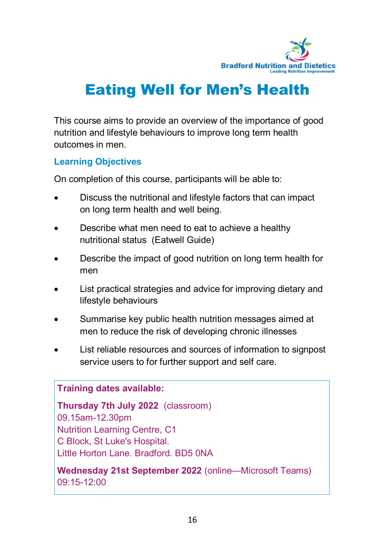

# Eating Well for Men's Health

This course aims to provide an overview of the importance of good nutrition and lifestyle behaviours to improve long term health outcomes in men.

### **Learning Objectives**

On completion of this course, participants will be able to:

- Discuss the nutritional and lifestyle factors that can impact on long term health and well being.
- Describe what men need to eat to achieve a healthy nutritional status (Eatwell Guide)
- Describe the impact of good nutrition on long term health for men
- List practical strategies and advice for improving dietary and lifestyle behaviours
- Summarise key public health nutrition messages aimed at men to reduce the risk of developing chronic illnesses
- List reliable resources and sources of information to signpost service users to for further support and self care.

#### **Training dates available:**

**Thursday 7th July 2022** (classroom) 09.15am-12.30pm Nutrition Learning Centre, C1 C Block, St Luke's Hospital. Little Horton Lane. Bradford. BD5 0NA

**Wednesday 21st September 2022** (online—Microsoft Teams) 09:15-12:00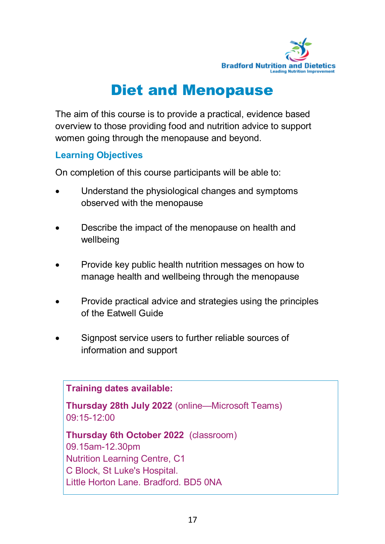

## Diet and Menopause

The aim of this course is to provide a practical, evidence based overview to those providing food and nutrition advice to support women going through the menopause and beyond.

### **Learning Objectives**

On completion of this course participants will be able to:

- Understand the physiological changes and symptoms observed with the menopause
- Describe the impact of the menopause on health and wellbeing
- Provide key public health nutrition messages on how to manage health and wellbeing through the menopause
- Provide practical advice and strategies using the principles of the Eatwell Guide
- Signpost service users to further reliable sources of information and support

**Training dates available:**

**Thursday 28th July 2022** (online—Microsoft Teams) 09:15-12:00

**Thursday 6th October 2022** (classroom) 09.15am-12.30pm Nutrition Learning Centre, C1 C Block, St Luke's Hospital. Little Horton Lane. Bradford. BD5 0NA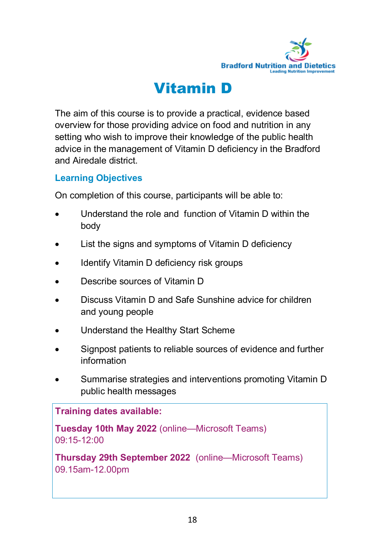

## Vitamin D

The aim of this course is to provide a practical, evidence based overview for those providing advice on food and nutrition in any setting who wish to improve their knowledge of the public health advice in the management of Vitamin D deficiency in the Bradford and Airedale district.

### **Learning Objectives**

On completion of this course, participants will be able to:

- Understand the role and function of Vitamin D within the body
- List the signs and symptoms of Vitamin D deficiency
- Identify Vitamin D deficiency risk groups
- Describe sources of Vitamin D
- Discuss Vitamin D and Safe Sunshine advice for children and young people
- Understand the Healthy Start Scheme
- Signpost patients to reliable sources of evidence and further information
- Summarise strategies and interventions promoting Vitamin D public health messages

**Training dates available:**

**Tuesday 10th May 2022** (online—Microsoft Teams) 09:15-12:00

**Thursday 29th September 2022** (online—Microsoft Teams) 09.15am-12.00pm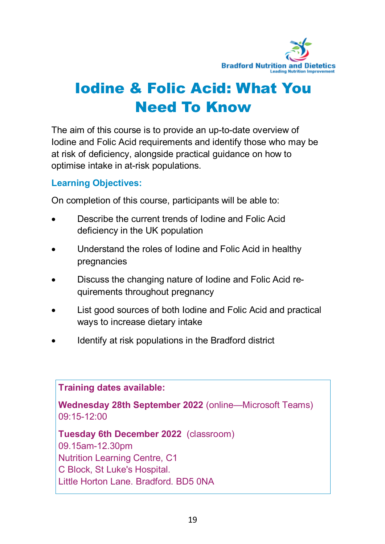

# Iodine & Folic Acid: What You Need To Know

The aim of this course is to provide an up-to-date overview of Iodine and Folic Acid requirements and identify those who may be at risk of deficiency, alongside practical guidance on how to optimise intake in at-risk populations.

### **Learning Objectives:**

On completion of this course, participants will be able to:

- Describe the current trends of Iodine and Folic Acid deficiency in the UK population
- Understand the roles of Iodine and Folic Acid in healthy pregnancies
- Discuss the changing nature of Iodine and Folic Acid requirements throughout pregnancy
- List good sources of both Iodine and Folic Acid and practical ways to increase dietary intake
- Identify at risk populations in the Bradford district

**Training dates available:**

**Wednesday 28th September 2022** (online—Microsoft Teams) 09:15-12:00

**Tuesday 6th December 2022** (classroom)

09.15am-12.30pm Nutrition Learning Centre, C1 C Block, St Luke's Hospital. Little Horton Lane. Bradford. BD5 0NA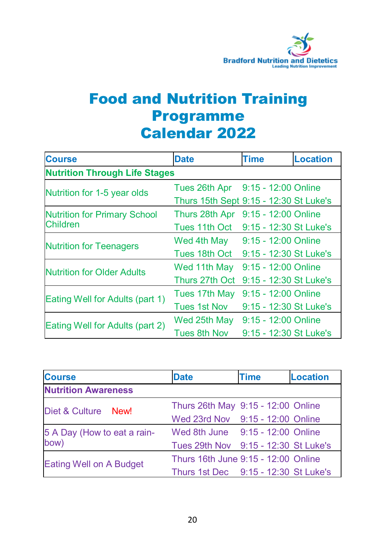

### Food and Nutrition Training Programme Calendar 2022

| <b>Course</b>                        | <b>Date</b>                            | <b>Time</b>            | <b>Location</b> |
|--------------------------------------|----------------------------------------|------------------------|-----------------|
| <b>Nutrition Through Life Stages</b> |                                        |                        |                 |
| Nutrition for 1-5 year olds          | Tues 26th Apr                          | $9:15 - 12:00$ Online  |                 |
|                                      | Thurs 15th Sept 9:15 - 12:30 St Luke's |                        |                 |
| <b>Nutrition for Primary School</b>  | Thurs 28th Apr                         | 9:15 - 12:00 Online    |                 |
| <b>Children</b>                      | Tues 11th Oct                          | 9:15 - 12:30 St Luke's |                 |
| <b>Nutrition for Teenagers</b>       | Wed 4th May                            | $9:15 - 12:00$ Online  |                 |
|                                      | Tues 18th Oct                          | 9:15 - 12:30 St Luke's |                 |
| <b>Nutrition for Older Adults</b>    | Wed 11th May                           | $9:15 - 12:00$ Online  |                 |
|                                      | Thurs 27th Oct                         | 9:15 - 12:30 St Luke's |                 |
| Eating Well for Adults (part 1)      | Tues 17th May                          | 9:15 - 12:00 Online    |                 |
|                                      | Tues 1st Nov                           | 9:15 - 12:30 St Luke's |                 |
| Eating Well for Adults (part 2)      | Wed 25th May                           | 9:15 - 12:00 Online    |                 |
|                                      | Tues 8th Nov                           | 9:15 - 12:30 St Luke's |                 |

| <b>Course</b>                  | <b>Date</b>                          | <b>Time</b> | <b>Location</b> |
|--------------------------------|--------------------------------------|-------------|-----------------|
| <b>Nutrition Awareness</b>     |                                      |             |                 |
| Diet & Culture<br>New!         | Thurs 26th May 9:15 - 12:00 Online   |             |                 |
|                                | Wed 23rd Nov 9:15 - 12:00 Online     |             |                 |
| 5 A Day (How to eat a rain-    | Wed 8th June 9:15 - 12:00 Online     |             |                 |
| bow)                           | Tues 29th Nov 9:15 - 12:30 St Luke's |             |                 |
| <b>Eating Well on A Budget</b> | Thurs 16th June 9:15 - 12:00 Online  |             |                 |
|                                | Thurs 1st Dec 9:15 - 12:30 St Luke's |             |                 |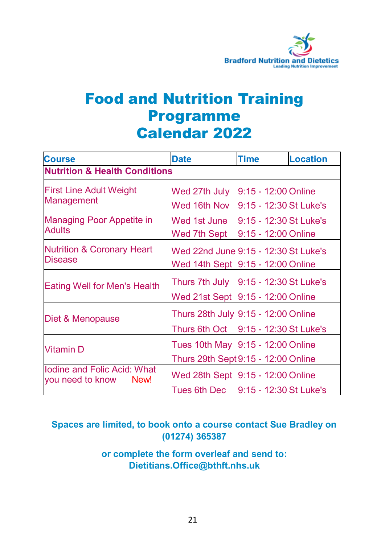

### Food and Nutrition Training Programme Calendar 2022

| <b>Course</b>                                           | <b>Date</b><br><b>Time</b><br><b>Location</b>                               |                                               |  |
|---------------------------------------------------------|-----------------------------------------------------------------------------|-----------------------------------------------|--|
| <b>Nutrition &amp; Health Conditions</b>                |                                                                             |                                               |  |
| <b>First Line Adult Weight</b>                          | Wed 27th July                                                               | 9:15 - 12:00 Online                           |  |
| Management                                              | Wed 16th Nov                                                                | 9:15 - 12:30 St Luke's                        |  |
| Managing Poor Appetite in<br><b>Adults</b>              | Wed 1st June<br>Wed 7th Sept                                                | 9:15 - 12:30 St Luke's<br>9:15 - 12:00 Online |  |
| <b>Nutrition &amp; Coronary Heart</b><br><b>Disease</b> | Wed 22nd June 9:15 - 12:30 St Luke's<br>Wed 14th Sept 9:15 - 12:00 Online   |                                               |  |
| <b>Eating Well for Men's Health</b>                     | Thurs 7th July 9:15 - 12:30 St Luke's<br>Wed 21st Sept 9:15 - 12:00 Online  |                                               |  |
| Diet & Menopause                                        | Thurs 28th July 9:15 - 12:00 Online<br>Thurs 6th Oct 9:15 - 12:30 St Luke's |                                               |  |
| <b>Vitamin D</b>                                        | Tues 10th May 9:15 - 12:00 Online<br>Thurs 29th Sept 9:15 - 12:00 Online    |                                               |  |
| Iodine and Folic Acid: What<br>you need to know<br>New! | Wed 28th Sept 9:15 - 12:00 Online<br>Tues 6th Dec 9:15 - 12:30 St Luke's    |                                               |  |

### **Spaces are limited, to book onto a course contact Sue Bradley on (01274) 365387**

**or complete the form overleaf and send to: Dietitians.Office@bthft.nhs.uk**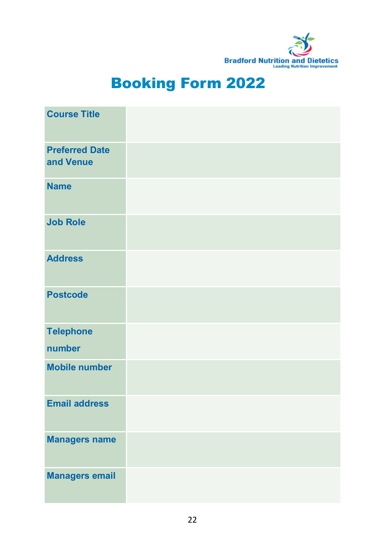

# Booking Form 2022

| <b>Course Title</b>                |  |
|------------------------------------|--|
| <b>Preferred Date</b><br>and Venue |  |
| <b>Name</b>                        |  |
| <b>Job Role</b>                    |  |
| <b>Address</b>                     |  |
| <b>Postcode</b>                    |  |
| <b>Telephone</b>                   |  |
| number                             |  |
| <b>Mobile number</b>               |  |
| <b>Email address</b>               |  |
| <b>Managers name</b>               |  |
| <b>Managers email</b>              |  |